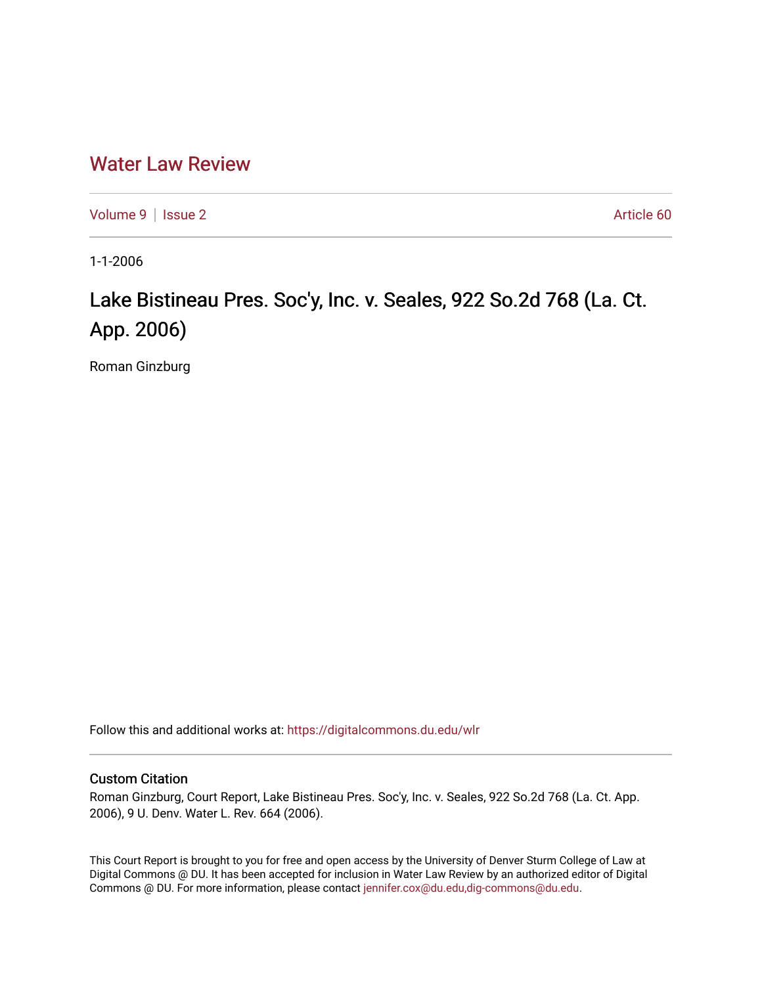## [Water Law Review](https://digitalcommons.du.edu/wlr)

[Volume 9](https://digitalcommons.du.edu/wlr/vol9) | [Issue 2](https://digitalcommons.du.edu/wlr/vol9/iss2) Article 60

1-1-2006

# Lake Bistineau Pres. Soc'y, Inc. v. Seales, 922 So.2d 768 (La. Ct. App. 2006)

Roman Ginzburg

Follow this and additional works at: [https://digitalcommons.du.edu/wlr](https://digitalcommons.du.edu/wlr?utm_source=digitalcommons.du.edu%2Fwlr%2Fvol9%2Fiss2%2F60&utm_medium=PDF&utm_campaign=PDFCoverPages) 

#### Custom Citation

Roman Ginzburg, Court Report, Lake Bistineau Pres. Soc'y, Inc. v. Seales, 922 So.2d 768 (La. Ct. App. 2006), 9 U. Denv. Water L. Rev. 664 (2006).

This Court Report is brought to you for free and open access by the University of Denver Sturm College of Law at Digital Commons @ DU. It has been accepted for inclusion in Water Law Review by an authorized editor of Digital Commons @ DU. For more information, please contact [jennifer.cox@du.edu,dig-commons@du.edu.](mailto:jennifer.cox@du.edu,dig-commons@du.edu)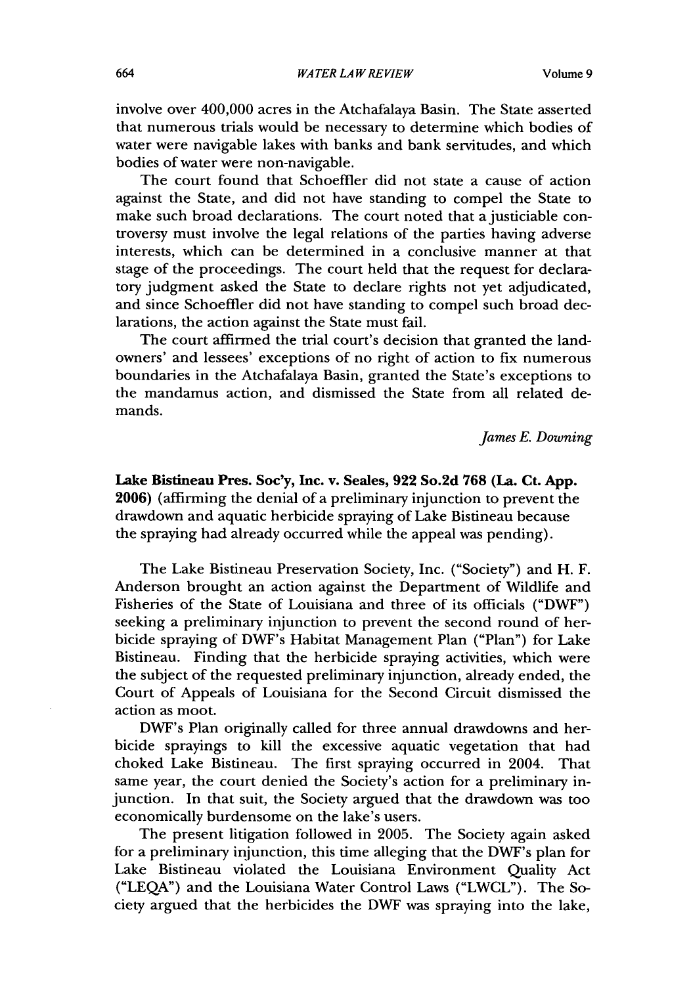involve over 400,000 acres in the Atchafalaya Basin. The State asserted that numerous trials would be necessary to determine which bodies of water were navigable lakes with banks and bank servitudes, and which bodies of water were non-navigable.

The court found that Schoeffler did not state a cause of action against the State, and did not have standing to compel the State to make such broad declarations. The court noted that a justiciable controversy must involve the legal relations of the parties having adverse interests, which can be determined in a conclusive manner at that stage of the proceedings. The court held that the request for declaratory judgment asked the State to declare rights not yet adjudicated, and since Schoeffler did not have standing to compel such broad declarations, the action against the State must fail.

The court affirmed the trial court's decision that granted the landowners' and lessees' exceptions of no right of action to fix numerous boundaries in the Atchafalaya Basin, granted the State's exceptions to the mandamus action, and dismissed the State from all related demands.

*James E. Downing*

### **Lake** Bistineau Pres. Soc'y, Inc. v. Seales, **922** So.2d **768 (La.** Ct. **App. 2006)** (affirming the denial of a preliminary injunction to prevent the drawdown and aquatic herbicide spraying of Lake Bistineau because the spraying had already occurred while the appeal was pending).

The Lake Bistineau Preservation Society, Inc. ("Society") and H. F. Anderson brought an action against the Department of Wildlife and Fisheries of the State of Louisiana and three of its officials ("DWF") seeking a preliminary injunction to prevent the second round of herbicide spraying of DWF's Habitat Management Plan ("Plan") for Lake Bistineau. Finding that the herbicide spraying activities, which were the subject of the requested preliminary injunction, already ended, the Court of Appeals of Louisiana for the Second Circuit dismissed the action as moot.

DWF's Plan originally called for three annual drawdowns and herbicide sprayings to kill the excessive aquatic vegetation that had choked Lake Bistineau. The first spraying occurred in 2004. That same year, the court denied the Society's action for a preliminary injunction. In that suit, the Society argued that the drawdown was too economically burdensome on the lake's users.

The present litigation followed in 2005. The Society again asked for a preliminary injunction, this time alleging that the DWF's plan for Lake Bistineau violated the Louisiana Environment Quality Act ("LEQA") and the Louisiana Water Control Laws ("LWCL"). The Society argued that the herbicides the DWF was spraying into the lake,